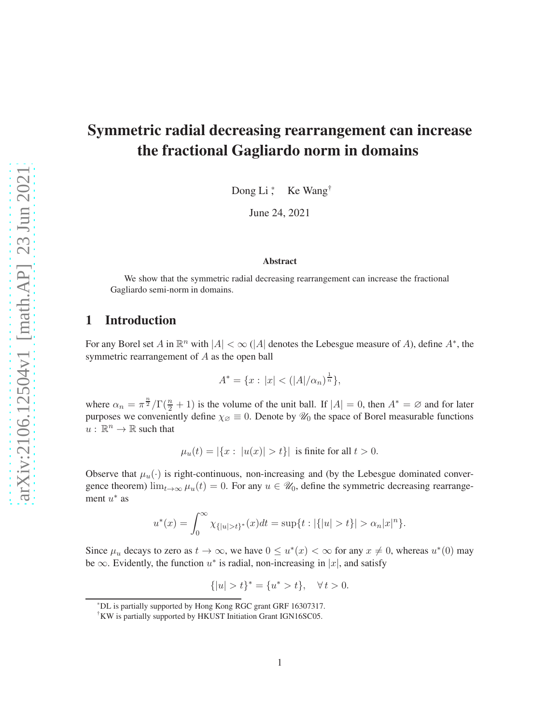# Symmetric radial decreasing rearrangement can increase the fractional Gagliardo norm in domains

Dong Li<sup>\*</sup>, Ke Wang<sup>†</sup>

June 24, 2021

#### Abstract

We show that the symmetric radial decreasing rearrangement can increase the fractional Gagliardo semi-norm in domains.

## 1 Introduction

For any Borel set A in  $\mathbb{R}^n$  with  $|A| < \infty$  (|A| denotes the Lebesgue measure of A), define  $A^*$ , the symmetric rearrangement of A as the open ball

$$
A^* = \{x : |x| < (|A|/\alpha_n)^{\frac{1}{n}}\},
$$

where  $\alpha_n = \pi^{\frac{n}{2}}/\Gamma(\frac{n}{2} + 1)$  is the volume of the unit ball. If  $|A| = 0$ , then  $A^* = \emptyset$  and for later purposes we conveniently define  $\chi_{\emptyset} \equiv 0$ . Denote by  $\mathcal{U}_0$  the space of Borel measurable functions  $u: \mathbb{R}^n \to \mathbb{R}$  such that

 $\mu_u(t) = |\{x : |u(x)| > t\}|$  is finite for all  $t > 0$ .

Observe that  $\mu_u(\cdot)$  is right-continuous, non-increasing and (by the Lebesgue dominated convergence theorem)  $\lim_{t\to\infty}\mu_u(t)=0$ . For any  $u\in\mathscr{U}_0$ , define the symmetric decreasing rearrangement  $u^*$  as

$$
u^*(x) = \int_0^\infty \chi_{\{|u| > t\}^*}(x) dt = \sup\{t : |\{|u| > t\}| > \alpha_n |x|^n\}.
$$

Since  $\mu_u$  decays to zero as  $t \to \infty$ , we have  $0 \le u^*(x) < \infty$  for any  $x \ne 0$ , whereas  $u^*(0)$  may be  $\infty$ . Evidently, the function  $u^*$  is radial, non-increasing in |x|, and satisfy

$$
\{|u| > t\}^* = \{u^* > t\}, \quad \forall \, t > 0.
$$

<sup>\*</sup>DL is partially supported by Hong Kong RGC grant GRF 16307317.

<sup>†</sup>KW is partially supported by HKUST Initiation Grant IGN16SC05.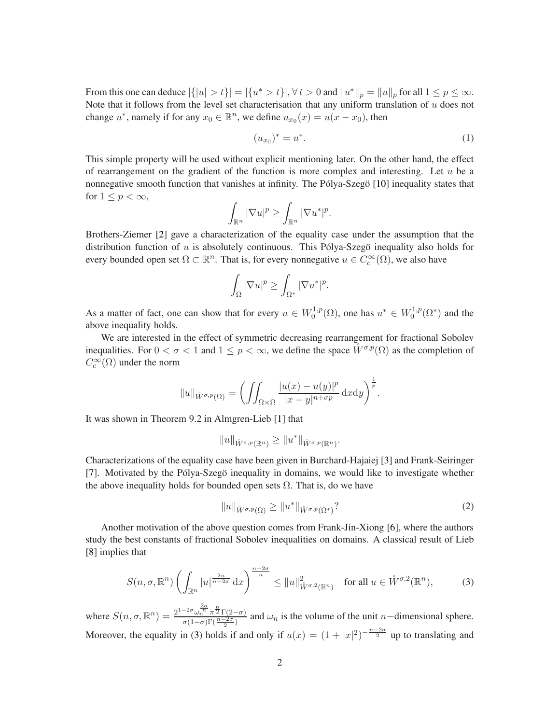From this one can deduce  $|\{|u| > t\}| = |\{u^* > t\}|$ ,  $\forall t > 0$  and  $||u^*||_p = ||u||_p$  for all  $1 \le p \le \infty$ . Note that it follows from the level set characterisation that any uniform translation of  $u$  does not change  $u^*$ , namely if for any  $x_0 \in \mathbb{R}^n$ , we define  $u_{x_0}(x) = u(x - x_0)$ , then

<span id="page-1-2"></span>
$$
(u_{x_0})^* = u^*.
$$
 (1)

This simple property will be used without explicit mentioning later. On the other hand, the effect of rearrangement on the gradient of the function is more complex and interesting. Let  $u$  be a nonnegative smooth function that vanishes at infinity. The Pólya-Szegö [\[10\]](#page-8-0) inequality states that for  $1 \leq p < \infty$ ,

$$
\int_{\mathbb{R}^n} |\nabla u|^p \ge \int_{\mathbb{R}^n} |\nabla u^*|^p.
$$

Brothers-Ziemer [\[2\]](#page-8-1) gave a characterization of the equality case under the assumption that the distribution function of  $u$  is absolutely continuous. This Pólya-Szegö inequality also holds for every bounded open set  $\Omega \subset \mathbb{R}^n$ . That is, for every nonnegative  $u \in C_c^{\infty}(\Omega)$ , we also have

$$
\int_{\Omega} |\nabla u|^p \ge \int_{\Omega^*} |\nabla u^*|^p.
$$

As a matter of fact, one can show that for every  $u \in W_0^{1,p}$  $u_0^{1,p}(\Omega)$ , one has  $u^* \in W_0^{1,p}$  $\binom{1,p}{0}$  and the above inequality holds.

We are interested in the effect of symmetric decreasing rearrangement for fractional Sobolev inequalities. For  $0 < \sigma < 1$  and  $1 \leq p < \infty$ , we define the space  $\overline{W^{\sigma,p}(\Omega)}$  as the completion of  $C_c^{\infty}(\Omega)$  under the norm

$$
||u||_{\mathring{W}^{\sigma,p}(\Omega)} = \left( \iint_{\Omega \times \Omega} \frac{|u(x) - u(y)|^p}{|x - y|^{n + \sigma p}} \, \mathrm{d}x \mathrm{d}y \right)^{\frac{1}{p}}.
$$

It was shown in Theorem 9.2 in Almgren-Lieb [\[1\]](#page-8-2) that

$$
||u||_{\mathring{W}^{\sigma,p}(\mathbb{R}^n)} \geq ||u^*||_{\mathring{W}^{\sigma,p}(\mathbb{R}^n)}.
$$

Characterizations of the equality case have been given in Burchard-Hajaiej [\[3\]](#page-8-3) and Frank-Seiringer [\[7\]](#page-8-4). Motivated by the Pólya-Szegö inequality in domains, we would like to investigate whether the above inequality holds for bounded open sets  $\Omega$ . That is, do we have

<span id="page-1-1"></span>
$$
||u||_{\mathring{W}^{\sigma,p}(\Omega)} \ge ||u^*||_{\mathring{W}^{\sigma,p}(\Omega^*)}?
$$
\n
$$
(2)
$$

Another motivation of the above question comes from Frank-Jin-Xiong [\[6\]](#page-8-5), where the authors study the best constants of fractional Sobolev inequalities on domains. A classical result of Lieb [\[8\]](#page-8-6) implies that

<span id="page-1-0"></span>
$$
S(n,\sigma,\mathbb{R}^n)\left(\int_{\mathbb{R}^n}|u|^{\frac{2n}{n-2\sigma}}\,\mathrm{d}x\right)^{\frac{n-2\sigma}{n}} \leq \|u\|_{\tilde{W}^{\sigma,2}(\mathbb{R}^n)}^2 \quad \text{for all } u \in \mathring{W}^{\sigma,2}(\mathbb{R}^n),\tag{3}
$$

where  $S(n, \sigma, \mathbb{R}^n) = \frac{2^{1-2\sigma} \omega_n^{\frac{2\sigma}{n}} \pi^{\frac{n}{2}} \Gamma(2-\sigma)}{\sigma(1-\sigma)\Gamma(\frac{n-2\sigma}{2})}$  and  $\omega_n$  is the volume of the unit *n*-dimensional sphere. Moreover, the equality in [\(3\)](#page-1-0) holds if and only if  $u(x) = (1 + |x|^2)^{-\frac{n-2\sigma}{2}}$  up to translating and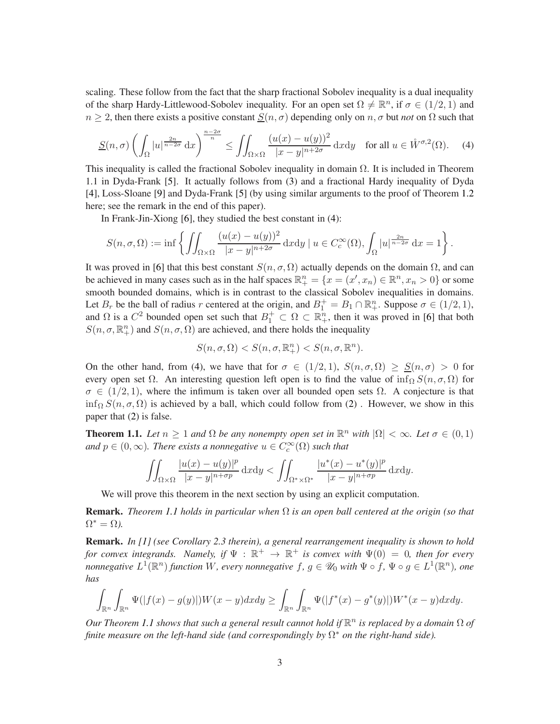scaling. These follow from the fact that the sharp fractional Sobolev inequality is a dual inequality of the sharp Hardy-Littlewood-Sobolev inequality. For an open set  $\Omega \neq \mathbb{R}^n$ , if  $\sigma \in (1/2, 1)$  and  $n \geq 2$ , then there exists a positive constant  $S(n, \sigma)$  depending only on  $n, \sigma$  but *not* on  $\Omega$  such that

<span id="page-2-0"></span>
$$
\underline{S}(n,\sigma)\left(\int_{\Omega}|u|^{\frac{2n}{n-2\sigma}}\,\mathrm{d}x\right)^{\frac{n-2\sigma}{n}} \le \iint_{\Omega\times\Omega} \frac{(u(x)-u(y))^2}{|x-y|^{n+2\sigma}}\,\mathrm{d}x\mathrm{d}y \quad \text{for all } u \in \mathring{W}^{\sigma,2}(\Omega). \tag{4}
$$

This inequality is called the fractional Sobolev inequality in domain  $\Omega$ . It is included in Theorem 1.1 in Dyda-Frank [\[5\]](#page-8-7). It actually follows from [\(3\)](#page-1-0) and a fractional Hardy inequality of Dyda [\[4\]](#page-8-8), Loss-Sloane [\[9\]](#page-8-9) and Dyda-Frank [\[5\]](#page-8-7) (by using similar arguments to the proof of Theorem [1.2](#page-3-0) here; see the remark in the end of this paper).

In Frank-Jin-Xiong [\[6\]](#page-8-5), they studied the best constant in [\(4\)](#page-2-0):

$$
S(n, \sigma, \Omega) := \inf \left\{ \iint_{\Omega \times \Omega} \frac{(u(x) - u(y))^2}{|x - y|^{n + 2\sigma}} dxdy \mid u \in C_c^{\infty}(\Omega), \int_{\Omega} |u|^{\frac{2n}{n - 2\sigma}} dx = 1 \right\}.
$$

It was proved in [\[6\]](#page-8-5) that this best constant  $S(n, \sigma, \Omega)$  actually depends on the domain  $\Omega$ , and can be achieved in many cases such as in the half spaces  $\mathbb{R}^n_+ = \{x = (x', x_n) \in \mathbb{R}^n, x_n > 0\}$  or some smooth bounded domains, which is in contrast to the classical Sobolev inequalities in domains. Let  $B_r$  be the ball of radius r centered at the origin, and  $B_1^+ = B_1 \cap \mathbb{R}_+^n$ . Suppose  $\sigma \in (1/2, 1)$ , and  $\Omega$  is a  $C^2$  bounded open set such that  $B_1^+ \subset \Omega \subset \mathbb{R}_+^n$ , then it was proved in [\[6\]](#page-8-5) that both  $S(n, \sigma, \mathbb{R}^n_+)$  and  $S(n, \sigma, \Omega)$  are achieved, and there holds the inequality

$$
S(n, \sigma, \Omega) < S(n, \sigma, \mathbb{R}^n_+) < S(n, \sigma, \mathbb{R}^n).
$$

On the other hand, from [\(4\)](#page-2-0), we have that for  $\sigma \in (1/2, 1)$ ,  $S(n, \sigma, \Omega) \geq S(n, \sigma) > 0$  for every open set  $\Omega$ . An interesting question left open is to find the value of inf<sub>Ω</sub>  $S(n, \sigma, \Omega)$  for  $\sigma \in (1/2, 1)$ , where the infimum is taken over all bounded open sets  $\Omega$ . A conjecture is that inf<sub>Ω</sub>  $S(n, \sigma, \Omega)$  is achieved by a ball, which could follow from [\(2\)](#page-1-1). However, we show in this paper that [\(2\)](#page-1-1) is false.

<span id="page-2-1"></span>**Theorem 1.1.** Let  $n \geq 1$  and  $\Omega$  be any nonempty open set in  $\mathbb{R}^n$  with  $|\Omega| < \infty$ . Let  $\sigma \in (0,1)$ and  $p \in (0, \infty)$ *. There exists a nonnegative*  $u \in C_c^{\infty}(\Omega)$  *such that* 

$$
\iint_{\Omega\times\Omega} \frac{|u(x)-u(y)|^p}{|x-y|^{n+\sigma p}} \, \mathrm{d}x \mathrm{d}y < \iint_{\Omega^*\times\Omega^*} \frac{|u^*(x)-u^*(y)|^p}{|x-y|^{n+\sigma p}} \, \mathrm{d}x \mathrm{d}y.
$$

We will prove this theorem in the next section by using an explicit computation.

Remark. *Theorem [1.1](#page-2-1) holds in particular when* Ω *is an open ball centered at the origin (so that*  $\Omega^* = \Omega$ ).

Remark. *In [\[1\]](#page-8-2) (see Corollary 2.3 therein), a general rearrangement inequality is shown to hold for convex integrands.* Namely, if  $\Psi : \mathbb{R}^+ \to \mathbb{R}^+$  is convex with  $\Psi(0) = 0$ , then for every *nonnegative*  $L^1(\mathbb{R}^n)$  *function* W, every nonnegative  $f, g \in \mathscr{U}_0$  with  $\Psi \circ f$ ,  $\Psi \circ g \in L^1(\mathbb{R}^n)$ , one *has*

$$
\int_{\mathbb{R}^n} \int_{\mathbb{R}^n} \Psi(|f(x)-g(y)|)W(x-y)dxdy \geq \int_{\mathbb{R}^n} \int_{\mathbb{R}^n} \Psi(|f^*(x)-g^*(y)|)W^*(x-y)dxdy.
$$

*Our Theorem [1.1](#page-2-1) shows that such a general result cannot hold if* R n *is replaced by a domain* Ω *of* finite measure on the left-hand side (and correspondingly by  $\Omega^*$  on the right-hand side).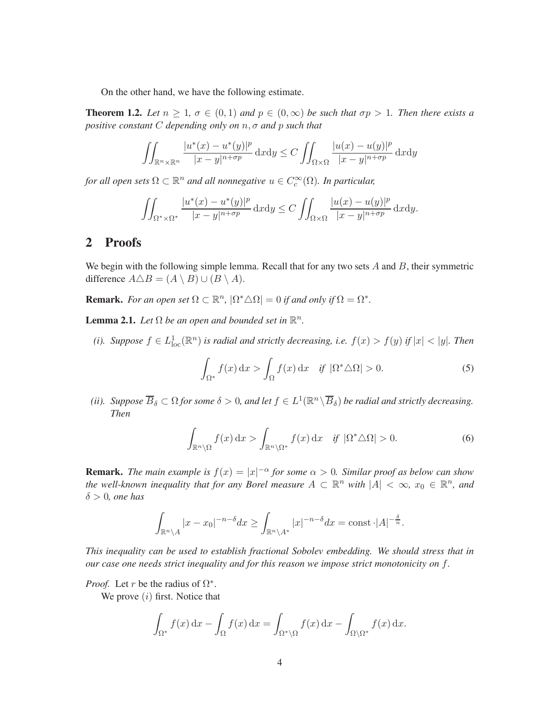On the other hand, we have the following estimate.

<span id="page-3-0"></span>**Theorem 1.2.** Let  $n \geq 1$ ,  $\sigma \in (0,1)$  and  $p \in (0,\infty)$  be such that  $\sigma p > 1$ . Then there exists a *positive constant* C *depending only on* n, σ *and* p *such that*

$$
\iint_{\mathbb{R}^n \times \mathbb{R}^n} \frac{|u^*(x) - u^*(y)|^p}{|x - y|^{n + \sigma p}} \, \mathrm{d}x \mathrm{d}y \le C \iint_{\Omega \times \Omega} \frac{|u(x) - u(y)|^p}{|x - y|^{n + \sigma p}} \, \mathrm{d}x \mathrm{d}y
$$

*for all open sets*  $\Omega \subset \mathbb{R}^n$  *and all nonnegative*  $u \in C_c^\infty(\Omega)$ *. In particular,* 

$$
\iint_{\Omega^*\times\Omega^*} \frac{|u^*(x) - u^*(y)|^p}{|x - y|^{n+\sigma p}} \, \mathrm{d}x \mathrm{d}y \le C \iint_{\Omega\times\Omega} \frac{|u(x) - u(y)|^p}{|x - y|^{n+\sigma p}} \, \mathrm{d}x \mathrm{d}y.
$$

## 2 Proofs

We begin with the following simple lemma. Recall that for any two sets  $A$  and  $B$ , their symmetric difference  $A \triangle B = (A \setminus B) \cup (B \setminus A)$ .

**Remark.** For an open set  $\Omega \subset \mathbb{R}^n$ ,  $|\Omega^* \triangle \Omega| = 0$  if and only if  $\Omega = \Omega^*$ .

<span id="page-3-3"></span>**Lemma 2.1.** Let  $\Omega$  be an open and bounded set in  $\mathbb{R}^n$ .

(*i*). Suppose  $f \in L^1_{loc}(\mathbb{R}^n)$  is radial and strictly decreasing, i.e.  $f(x) > f(y)$  if  $|x| < |y|$ . Then

<span id="page-3-2"></span><span id="page-3-1"></span>
$$
\int_{\Omega^*} f(x) dx > \int_{\Omega} f(x) dx \quad \text{if } |\Omega^* \triangle \Omega| > 0.
$$
 (5)

(*ii*). Suppose  $\overline{B}_\delta \subset \Omega$  for some  $\delta > 0$ , and let  $f \in L^1(\mathbb{R}^n \setminus \overline{B}_\delta)$  be radial and strictly decreasing. *Then*

$$
\int_{\mathbb{R}^n \setminus \Omega} f(x) dx > \int_{\mathbb{R}^n \setminus \Omega^*} f(x) dx \quad \text{if } |\Omega^* \triangle \Omega| > 0. \tag{6}
$$

**Remark.** The main example is  $f(x) = |x|^{-\alpha}$  for some  $\alpha > 0$ . Similar proof as below can show *the well-known inequality that for any Borel measure*  $A \subset \mathbb{R}^n$  *with*  $|A| < \infty$ ,  $x_0 \in \mathbb{R}^n$ , and δ > 0*, one has*

$$
\int_{\mathbb{R}^n \setminus A} |x - x_0|^{-n-\delta} dx \ge \int_{\mathbb{R}^n \setminus A^*} |x|^{-n-\delta} dx = \text{const} \cdot |A|^{-\frac{\delta}{n}}.
$$

*This inequality can be used to establish fractional Sobolev embedding. We should stress that in our case one needs strict inequality and for this reason we impose strict monotonicity on* f*.*

*Proof.* Let r be the radius of  $\Omega^*$ .

We prove  $(i)$  first. Notice that

$$
\int_{\Omega^*} f(x) dx - \int_{\Omega} f(x) dx = \int_{\Omega^* \backslash \Omega} f(x) dx - \int_{\Omega \backslash \Omega^*} f(x) dx.
$$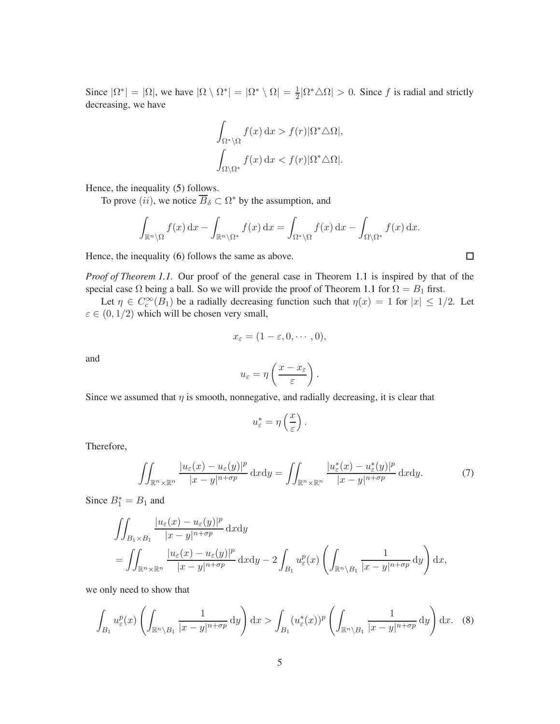Since  $|\Omega^*| = |\Omega|$ , we have  $|\Omega \setminus \Omega^*| = |\Omega^* \setminus \Omega| = \frac{1}{2} |\Omega^* \triangle \Omega| > 0$ . Since f is radial and strictly decreasing, we have

$$
\int_{\Omega^*\setminus\Omega} f(x) dx > f(r)|\Omega^*\triangle\Omega|,
$$
  

$$
\int_{\Omega\setminus\Omega^*} f(x) dx < f(r)|\Omega^*\triangle\Omega|.
$$

Hence, the inequality [\(5\)](#page-3-1) follows.

To prove  $(ii)$ , we notice  $\overline{B}_\delta \subset \Omega^*$  by the assumption, and

$$
\int_{\mathbb{R}^n \setminus \Omega} f(x) dx - \int_{\mathbb{R}^n \setminus \Omega^*} f(x) dx = \int_{\Omega^* \setminus \Omega} f(x) dx - \int_{\Omega \setminus \Omega^*} f(x) dx.
$$

Hence, the inequality [\(6\)](#page-3-2) follows the same as above.

*Proof of Theorem [1.1.](#page-2-1)* Our proof of the general case in Theorem [1.1](#page-2-1) is inspired by that of the special case  $\Omega$  being a ball. So we will provide the proof of Theorem [1.1](#page-2-1) for  $\Omega = B_1$  first.

Let  $\eta \in C_c^{\infty}(B_1)$  be a radially decreasing function such that  $\eta(x) = 1$  for  $|x| \leq 1/2$ . Let  $\varepsilon \in (0,1/2)$  which will be chosen very small,

$$
x_{\varepsilon}=(1-\varepsilon,0,\cdots,0),
$$

and

$$
u_{\varepsilon} = \eta \left( \frac{x - x_{\varepsilon}}{\varepsilon} \right).
$$

Since we assumed that  $\eta$  is smooth, nonnegative, and radially decreasing, it is clear that

$$
u_{\varepsilon}^* = \eta\left(\frac{x}{\varepsilon}\right).
$$

Therefore,

<span id="page-4-1"></span>
$$
\iint_{\mathbb{R}^n \times \mathbb{R}^n} \frac{|u_{\varepsilon}(x) - u_{\varepsilon}(y)|^p}{|x - y|^{n + \sigma p}} \, \mathrm{d}x \mathrm{d}y = \iint_{\mathbb{R}^n \times \mathbb{R}^n} \frac{|u_{\varepsilon}^*(x) - u_{\varepsilon}^*(y)|^p}{|x - y|^{n + \sigma p}} \, \mathrm{d}x \mathrm{d}y. \tag{7}
$$

Since  $B_1^* = B_1$  and

$$
\iint_{B_1 \times B_1} \frac{|u_{\varepsilon}(x) - u_{\varepsilon}(y)|^p}{|x - y|^{n + \sigma p}} dxdy
$$
\n
$$
= \iint_{\mathbb{R}^n \times \mathbb{R}^n} \frac{|u_{\varepsilon}(x) - u_{\varepsilon}(y)|^p}{|x - y|^{n + \sigma p}} dxdy - 2 \int_{B_1} u_{\varepsilon}^p(x) \left( \int_{\mathbb{R}^n \times B_1} \frac{1}{|x - y|^{n + \sigma p}} dy \right) dx,
$$

we only need to show that

<span id="page-4-0"></span>
$$
\int_{B_1} u_{\varepsilon}^p(x) \left( \int_{\mathbb{R}^n \setminus B_1} \frac{1}{|x - y|^{n + \sigma p}} dy \right) dx > \int_{B_1} (u_{\varepsilon}^*(x))^p \left( \int_{\mathbb{R}^n \setminus B_1} \frac{1}{|x - y|^{n + \sigma p}} dy \right) dx. \tag{8}
$$

 $\Box$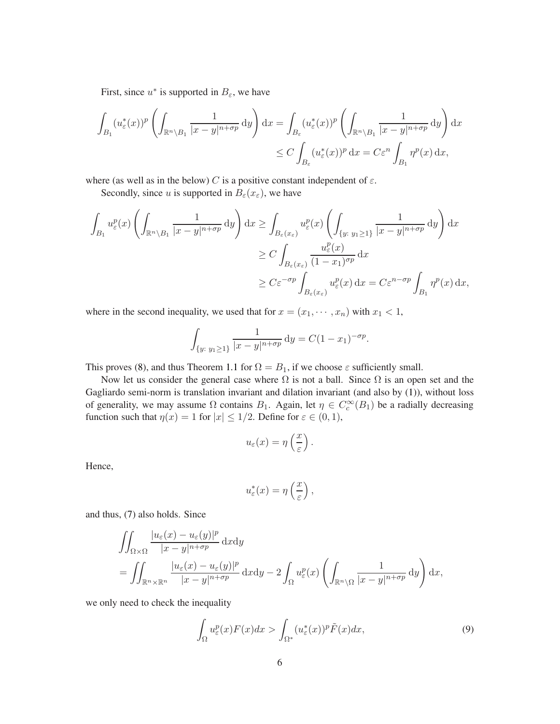First, since  $u^*$  is supported in  $B_{\varepsilon}$ , we have

$$
\int_{B_1} (u_{\varepsilon}^*(x))^p \left( \int_{\mathbb{R}^n \setminus B_1} \frac{1}{|x - y|^{n + \sigma p}} dy \right) dx = \int_{B_{\varepsilon}} (u_{\varepsilon}^*(x))^p \left( \int_{\mathbb{R}^n \setminus B_1} \frac{1}{|x - y|^{n + \sigma p}} dy \right) dx
$$
  

$$
\leq C \int_{B_{\varepsilon}} (u_{\varepsilon}^*(x))^p dx = C \varepsilon^n \int_{B_1} \eta^p(x) dx,
$$

where (as well as in the below) C is a positive constant independent of  $\varepsilon$ .

Secondly, since u is supported in  $B_{\varepsilon}(x_{\varepsilon})$ , we have

$$
\int_{B_1} u_{\varepsilon}^p(x) \left( \int_{\mathbb{R}^n \setminus B_1} \frac{1}{|x - y|^{n + \sigma p}} \, dy \right) dx \ge \int_{B_{\varepsilon}(x_{\varepsilon})} u_{\varepsilon}^p(x) \left( \int_{\{y: y_1 \ge 1\}} \frac{1}{|x - y|^{n + \sigma p}} \, dy \right) dx
$$
\n
$$
\ge C \int_{B_{\varepsilon}(x_{\varepsilon})} \frac{u_{\varepsilon}^p(x)}{(1 - x_1)^{\sigma p}} \, dx
$$
\n
$$
\ge C \varepsilon^{-\sigma p} \int_{B_{\varepsilon}(x_{\varepsilon})} u_{\varepsilon}^p(x) \, dx = C \varepsilon^{n - \sigma p} \int_{B_1} \eta^p(x) \, dx,
$$

where in the second inequality, we used that for  $x = (x_1, \dots, x_n)$  with  $x_1 < 1$ ,

$$
\int_{\{y:\;y_1\geq 1\}} \frac{1}{|x-y|^{n+\sigma p}} \, \mathrm{d}y = C(1-x_1)^{-\sigma p}.
$$

This proves [\(8\)](#page-4-0), and thus Theorem [1.1](#page-2-1) for  $\Omega = B_1$ , if we choose  $\varepsilon$  sufficiently small.

Now let us consider the general case where  $\Omega$  is not a ball. Since  $\Omega$  is an open set and the Gagliardo semi-norm is translation invariant and dilation invariant (and also by [\(1\)](#page-1-2)), without loss of generality, we may assume  $\Omega$  contains  $B_1$ . Again, let  $\eta \in C_c^{\infty}(B_1)$  be a radially decreasing function such that  $\eta(x) = 1$  for  $|x| \leq 1/2$ . Define for  $\varepsilon \in (0, 1)$ ,

$$
u_{\varepsilon}(x) = \eta\left(\frac{x}{\varepsilon}\right).
$$

Hence,

$$
u_{\varepsilon}^*(x) = \eta\left(\frac{x}{\varepsilon}\right),\,
$$

and thus, [\(7\)](#page-4-1) also holds. Since

$$
\iint_{\Omega \times \Omega} \frac{|u_{\varepsilon}(x) - u_{\varepsilon}(y)|^p}{|x - y|^{n + \sigma p}} dxdy
$$
\n
$$
= \iint_{\mathbb{R}^n \times \mathbb{R}^n} \frac{|u_{\varepsilon}(x) - u_{\varepsilon}(y)|^p}{|x - y|^{n + \sigma p}} dxdy - 2 \int_{\Omega} u_{\varepsilon}^p(x) \left( \int_{\mathbb{R}^n \times \Omega} \frac{1}{|x - y|^{n + \sigma p}} dy \right) dx,
$$

we only need to check the inequality

<span id="page-5-0"></span>
$$
\int_{\Omega} u_{\varepsilon}^p(x) F(x) dx > \int_{\Omega^*} (u_{\varepsilon}^*(x))^p \tilde{F}(x) dx,
$$
\n(9)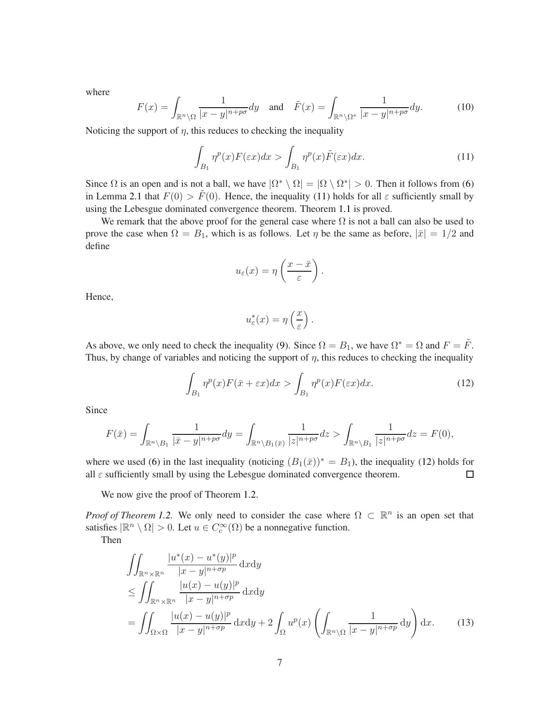where

$$
F(x) = \int_{\mathbb{R}^n \setminus \Omega} \frac{1}{|x - y|^{n + p\sigma}} dy \quad \text{and} \quad \tilde{F}(x) = \int_{\mathbb{R}^n \setminus \Omega^*} \frac{1}{|x - y|^{n + p\sigma}} dy. \tag{10}
$$

Noticing the support of  $\eta$ , this reduces to checking the inequality

$$
\int_{B_1} \eta^p(x) F(\varepsilon x) dx > \int_{B_1} \eta^p(x) \tilde{F}(\varepsilon x) dx.
$$
\n(11)

Since  $\Omega$  is an open and is not a ball, we have  $|\Omega^* \setminus \Omega| = |\Omega \setminus \Omega^*| > 0$ . Then it follows from [\(6\)](#page-3-2) in Lemma [2.1](#page-3-3) that  $F(0) > \tilde{F}(0)$ . Hence, the inequality [\(11\)](#page-6-0) holds for all  $\varepsilon$  sufficiently small by using the Lebesgue dominated convergence theorem. Theorem [1.1](#page-2-1) is proved.

We remark that the above proof for the general case where  $\Omega$  is not a ball can also be used to prove the case when  $\Omega = B_1$ , which is as follows. Let  $\eta$  be the same as before,  $|\bar{x}| = 1/2$  and define

<span id="page-6-0"></span>
$$
u_{\varepsilon}(x) = \eta\left(\frac{x-\bar{x}}{\varepsilon}\right).
$$

Hence,

<span id="page-6-1"></span>
$$
u_{\varepsilon}^*(x) = \eta\left(\frac{x}{\varepsilon}\right).
$$

As above, we only need to check the inequality [\(9\)](#page-5-0). Since  $\Omega = B_1$ , we have  $\Omega^* = \Omega$  and  $F = \tilde{F}$ . Thus, by change of variables and noticing the support of  $\eta$ , this reduces to checking the inequality

$$
\int_{B_1} \eta^p(x) F(\bar{x} + \varepsilon x) dx > \int_{B_1} \eta^p(x) F(\varepsilon x) dx.
$$
\n(12)

Since

$$
F(\bar{x}) = \int_{\mathbb{R}^n \setminus B_1} \frac{1}{|\bar{x} - y|^{n+p\sigma}} dy = \int_{\mathbb{R}^n \setminus B_1(\bar{x})} \frac{1}{|z|^{n+p\sigma}} dz > \int_{\mathbb{R}^n \setminus B_1} \frac{1}{|z|^{n+p\sigma}} dz = F(0),
$$

where we used [\(6\)](#page-3-2) in the last inequality (noticing  $(B_1(\bar{x}))^* = B_1$ ), the inequality [\(12\)](#page-6-1) holds for all  $\varepsilon$  sufficiently small by using the Lebesgue dominated convergence theorem.  $\Box$ 

We now give the proof of Theorem [1.2.](#page-3-0)

*Proof of Theorem [1.2.](#page-3-0)* We only need to consider the case where  $\Omega \subset \mathbb{R}^n$  is an open set that satisfies  $|\mathbb{R}^n \setminus \Omega| > 0$ . Let  $u \in C_c^{\infty}(\Omega)$  be a nonnegative function.

Then

<span id="page-6-2"></span>
$$
\iint_{\mathbb{R}^n \times \mathbb{R}^n} \frac{|u^*(x) - u^*(y)|^p}{|x - y|^{n + \sigma p}} dxdy
$$
\n
$$
\leq \iint_{\mathbb{R}^n \times \mathbb{R}^n} \frac{|u(x) - u(y)|^p}{|x - y|^{n + \sigma p}} dxdy
$$
\n
$$
= \iint_{\Omega \times \Omega} \frac{|u(x) - u(y)|^p}{|x - y|^{n + \sigma p}} dxdy + 2 \int_{\Omega} u^p(x) \left( \int_{\mathbb{R}^n \times \Omega} \frac{1}{|x - y|^{n + \sigma p}} dy \right) dx. \tag{13}
$$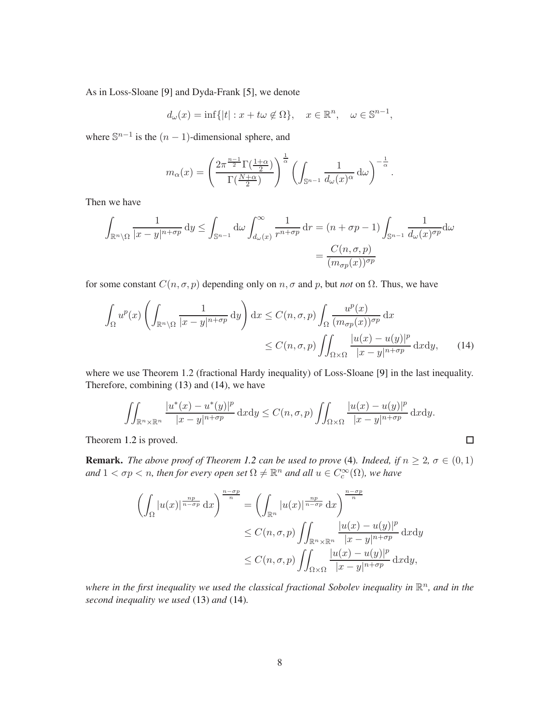As in Loss-Sloane [\[9\]](#page-8-9) and Dyda-Frank [\[5\]](#page-8-7), we denote

$$
d_{\omega}(x) = \inf\{|t| : x + t\omega \notin \Omega\}, \quad x \in \mathbb{R}^n, \quad \omega \in \mathbb{S}^{n-1},
$$

where  $\mathbb{S}^{n-1}$  is the  $(n-1)$ -dimensional sphere, and

$$
m_{\alpha}(x) = \left(\frac{2\pi^{\frac{n-1}{2}}\Gamma(\frac{1+\alpha}{2})}{\Gamma(\frac{N+\alpha}{2})}\right)^{\frac{1}{\alpha}} \left(\int_{\mathbb{S}^{n-1}} \frac{1}{d_{\omega}(x)^{\alpha}} d\omega\right)^{-\frac{1}{\alpha}}.
$$

Then we have

$$
\int_{\mathbb{R}^n \setminus \Omega} \frac{1}{|x - y|^{n + \sigma p}} dy \le \int_{\mathbb{S}^{n-1}} d\omega \int_{d\omega(x)}^{\infty} \frac{1}{r^{n + \sigma p}} dr = (n + \sigma p - 1) \int_{\mathbb{S}^{n-1}} \frac{1}{d\omega(x)^{\sigma p}} d\omega
$$

$$
= \frac{C(n, \sigma, p)}{(m_{\sigma p}(x))^{\sigma p}}
$$

for some constant  $C(n, \sigma, p)$  depending only on  $n, \sigma$  and  $p$ , but *not* on  $\Omega$ . Thus, we have

$$
\int_{\Omega} u^p(x) \left( \int_{\mathbb{R}^n \setminus \Omega} \frac{1}{|x - y|^{n + \sigma p}} \, dy \right) dx \le C(n, \sigma, p) \int_{\Omega} \frac{u^p(x)}{(m_{\sigma p}(x))^{\sigma p}} \, dx
$$
\n
$$
\le C(n, \sigma, p) \iint_{\Omega \times \Omega} \frac{|u(x) - u(y)|^p}{|x - y|^{n + \sigma p}} \, dx \, dy,\tag{14}
$$

where we use Theorem 1.2 (fractional Hardy inequality) of Loss-Sloane [\[9\]](#page-8-9) in the last inequality. Therefore, combining [\(13\)](#page-6-2) and [\(14\)](#page-7-0), we have

$$
\iint_{\mathbb{R}^n\times\mathbb{R}^n} \frac{|u^*(x)-u^*(y)|^p}{|x-y|^{n+\sigma p}}\,\mathrm{d}x\mathrm{d}y \le C(n,\sigma,p)\iint_{\Omega\times\Omega} \frac{|u(x)-u(y)|^p}{|x-y|^{n+\sigma p}}\,\mathrm{d}x\mathrm{d}y.
$$

<span id="page-7-0"></span> $\Box$ 

Theorem [1.2](#page-3-0) is proved.

**Remark.** *The above proof of Theorem [1.2](#page-3-0) can be used to prove* [\(4\)](#page-2-0)*. Indeed, if*  $n \geq 2$ ,  $\sigma \in (0,1)$  $and$   $1 < \sigma p < n$ , then for every open set  $\Omega \neq \mathbb{R}^n$  and all  $u \in C_c^{\infty}(\Omega)$ , we have

$$
\left(\int_{\Omega} |u(x)|^{\frac{np}{n-\sigma p}} dx\right)^{\frac{n-\sigma p}{n}} = \left(\int_{\mathbb{R}^n} |u(x)|^{\frac{np}{n-\sigma p}} dx\right)^{\frac{n-\sigma p}{n}}
$$
  
\n
$$
\leq C(n, \sigma, p) \iint_{\mathbb{R}^n \times \mathbb{R}^n} \frac{|u(x) - u(y)|^p}{|x - y|^{n+\sigma p}} dxdy
$$
  
\n
$$
\leq C(n, \sigma, p) \iint_{\Omega \times \Omega} \frac{|u(x) - u(y)|^p}{|x - y|^{n+\sigma p}} dxdy,
$$

where in the first inequality we used the classical fractional Sobolev inequality in  $\mathbb{R}^n$ , and in the *second inequality we used* [\(13\)](#page-6-2) *and* [\(14\)](#page-7-0)*.*